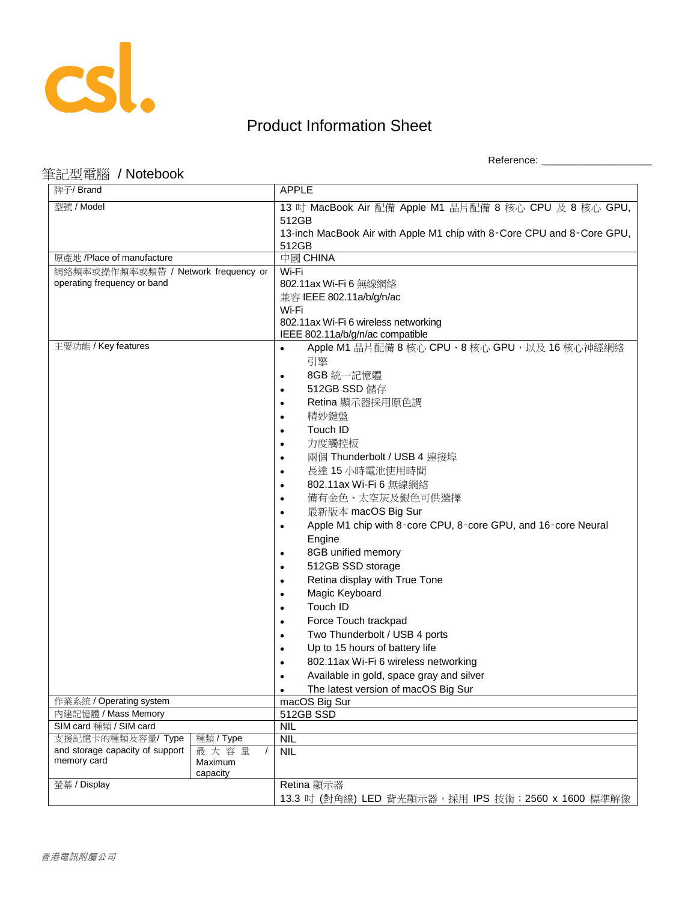

Reference: \_\_\_\_\_\_\_\_\_\_\_\_\_\_\_\_\_\_\_\_

#### 筆記型電腦 / Notebook

| 牌子/ Brand                                            |                             | <b>APPLE</b>                                                                      |
|------------------------------------------------------|-----------------------------|-----------------------------------------------------------------------------------|
| 型號 / Model                                           |                             | 13 吋 MacBook Air 配備 Apple M1 晶片配備 8 核心 CPU 及 8 核心 GPU,                            |
|                                                      |                             | 512GB                                                                             |
|                                                      |                             | 13-inch MacBook Air with Apple M1 chip with 8-Core CPU and 8-Core GPU,            |
|                                                      |                             | 512GB                                                                             |
| 原產地 /Place of manufacture                            |                             | 中國 CHINA                                                                          |
| 網絡頻率或操作頻率或頻帶 / Network frequency or                  |                             | Wi-Fi                                                                             |
| operating frequency or band                          |                             | 802.11ax Wi-Fi 6 無線網絡                                                             |
|                                                      |                             | 兼容 IEEE 802.11a/b/g/n/ac                                                          |
|                                                      |                             | Wi-Fi                                                                             |
|                                                      |                             | 802.11ax Wi-Fi 6 wireless networking                                              |
| 主要功能 / Key features                                  |                             | IEEE 802.11a/b/g/n/ac compatible<br>Apple M1 晶片配備 8 核心 CPU、8 核心 GPU, 以及 16 核心神經網絡 |
|                                                      |                             |                                                                                   |
|                                                      |                             | 引擎                                                                                |
|                                                      |                             | 8GB 統一記憶體                                                                         |
|                                                      |                             | 512GB SSD 儲存                                                                      |
|                                                      |                             | Retina 顯示器採用原色調                                                                   |
|                                                      |                             | 精妙鍵盤                                                                              |
|                                                      |                             | Touch ID                                                                          |
|                                                      |                             | 力度觸控板                                                                             |
|                                                      |                             | 兩個 Thunderbolt / USB 4 連接埠                                                        |
|                                                      |                             | 長達 15 小時電池使用時間                                                                    |
|                                                      |                             | 802.11ax Wi-Fi 6 無線網絡                                                             |
|                                                      |                             | 備有金色、太空灰及銀色可供選擇                                                                   |
|                                                      |                             | 最新版本 macOS Big Sur                                                                |
|                                                      |                             | Apple M1 chip with 8-core CPU, 8-core GPU, and 16-core Neural                     |
|                                                      |                             | Engine                                                                            |
|                                                      |                             | 8GB unified memory                                                                |
|                                                      |                             | 512GB SSD storage                                                                 |
|                                                      |                             | Retina display with True Tone                                                     |
|                                                      |                             | Magic Keyboard                                                                    |
|                                                      |                             | Touch ID                                                                          |
|                                                      |                             | Force Touch trackpad                                                              |
|                                                      |                             | Two Thunderbolt / USB 4 ports                                                     |
|                                                      |                             | Up to 15 hours of battery life                                                    |
|                                                      |                             | 802.11ax Wi-Fi 6 wireless networking                                              |
|                                                      |                             | Available in gold, space gray and silver                                          |
|                                                      |                             | The latest version of macOS Big Sur                                               |
| 作業系統 / Operating system                              |                             | macOS Big Sur                                                                     |
| 內建記憶體 / Mass Memory                                  |                             | 512GB SSD                                                                         |
| SIM card 種類 / SIM card                               |                             | <b>NIL</b>                                                                        |
| 支援記憶卡的種類及容量/ Type<br>and storage capacity of support | 種類 / Type                   | <b>NIL</b>                                                                        |
| memory card                                          | 最大容量<br>$\prime$<br>Maximum | <b>NIL</b>                                                                        |
|                                                      | capacity                    |                                                                                   |
| 螢幕 / Display                                         |                             | Retina 顯示器                                                                        |
|                                                      |                             | 13.3 吋 (對角線) LED 背光顯示器,採用 IPS 技術; 2560 x 1600 標準解像                                |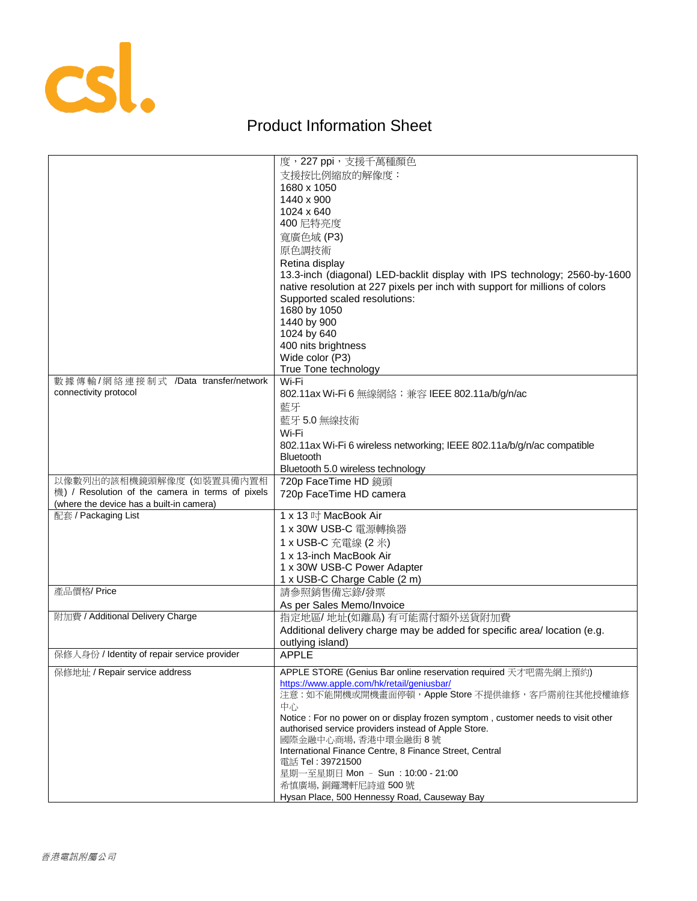

|                                                  | 度,227 ppi,支援千萬種顏色                                                                 |
|--------------------------------------------------|-----------------------------------------------------------------------------------|
|                                                  | 支援按比例縮放的解像度:                                                                      |
|                                                  | 1680 x 1050                                                                       |
|                                                  | 1440 x 900                                                                        |
|                                                  | 1024 x 640                                                                        |
|                                                  | 400 尼特亮度                                                                          |
|                                                  | 寬廣色域 (P3)                                                                         |
|                                                  | 原色調技術                                                                             |
|                                                  | Retina display                                                                    |
|                                                  | 13.3-inch (diagonal) LED-backlit display with IPS technology; 2560-by-1600        |
|                                                  | native resolution at 227 pixels per inch with support for millions of colors      |
|                                                  | Supported scaled resolutions:                                                     |
|                                                  | 1680 by 1050                                                                      |
|                                                  | 1440 by 900                                                                       |
|                                                  | 1024 by 640                                                                       |
|                                                  | 400 nits brightness                                                               |
|                                                  | Wide color (P3)                                                                   |
|                                                  | True Tone technology                                                              |
| 數據傳輸/網絡連接制式 /Data transfer/network               | Wi-Fi                                                                             |
| connectivity protocol                            | 802.11ax Wi-Fi 6 無線網絡;兼容 IEEE 802.11a/b/g/n/ac                                    |
|                                                  | 藍牙                                                                                |
|                                                  | 藍牙5.0無線技術                                                                         |
|                                                  | Wi-Fi                                                                             |
|                                                  | 802.11ax Wi-Fi 6 wireless networking; IEEE 802.11a/b/g/n/ac compatible            |
|                                                  | <b>Bluetooth</b>                                                                  |
|                                                  | Bluetooth 5.0 wireless technology                                                 |
| 以像數列出的該相機鏡頭解像度(如裝置具備內置相                          | 720p FaceTime HD 鏡頭                                                               |
| 機) / Resolution of the camera in terms of pixels | 720p FaceTime HD camera                                                           |
| (where the device has a built-in camera)         |                                                                                   |
| 配套 / Packaging List                              | 1 x 13 吋 MacBook Air                                                              |
|                                                  | 1 x 30W USB-C 電源轉換器                                                               |
|                                                  | 1 x USB-C 充電線 (2 米)                                                               |
|                                                  | 1 x 13-inch MacBook Air                                                           |
|                                                  | 1 x 30W USB-C Power Adapter                                                       |
|                                                  | 1 x USB-C Charge Cable (2 m)                                                      |
| 產品價格/Price                                       | 請參照銷售備忘錄/發票                                                                       |
|                                                  | As per Sales Memo/Invoice                                                         |
| 附加費 / Additional Delivery Charge                 | 指定地區/地址(如離島)有可能需付額外送貨附加費                                                          |
|                                                  | Additional delivery charge may be added for specific area/ location (e.g.         |
|                                                  | outlying island)                                                                  |
| 保修人身份 / Identity of repair service provider      | <b>APPLE</b>                                                                      |
| 保修地址 / Repair service address                    | APPLE STORE (Genius Bar online reservation required 天才吧需先網上預約)                    |
|                                                  | https://www.apple.com/hk/retail/geniusbar/                                        |
|                                                  | 注意:如不能開機或開機畫面停頓, Apple Store 不提供維修, 客戶需前往其他授權維修                                   |
|                                                  | 中心                                                                                |
|                                                  | Notice : For no power on or display frozen symptom, customer needs to visit other |
|                                                  | authorised service providers instead of Apple Store.                              |
|                                                  | 國際金融中心商場, 香港中環金融街 8號                                                              |
|                                                  | International Finance Centre, 8 Finance Street, Central<br>電話 Tel : 39721500      |
|                                                  | 星期一至星期日 Mon - Sun: 10:00 - 21:00                                                  |
|                                                  | 希慎廣場, 銅鑼灣軒尼詩道 500號                                                                |
|                                                  | Hysan Place, 500 Hennessy Road, Causeway Bay                                      |
|                                                  |                                                                                   |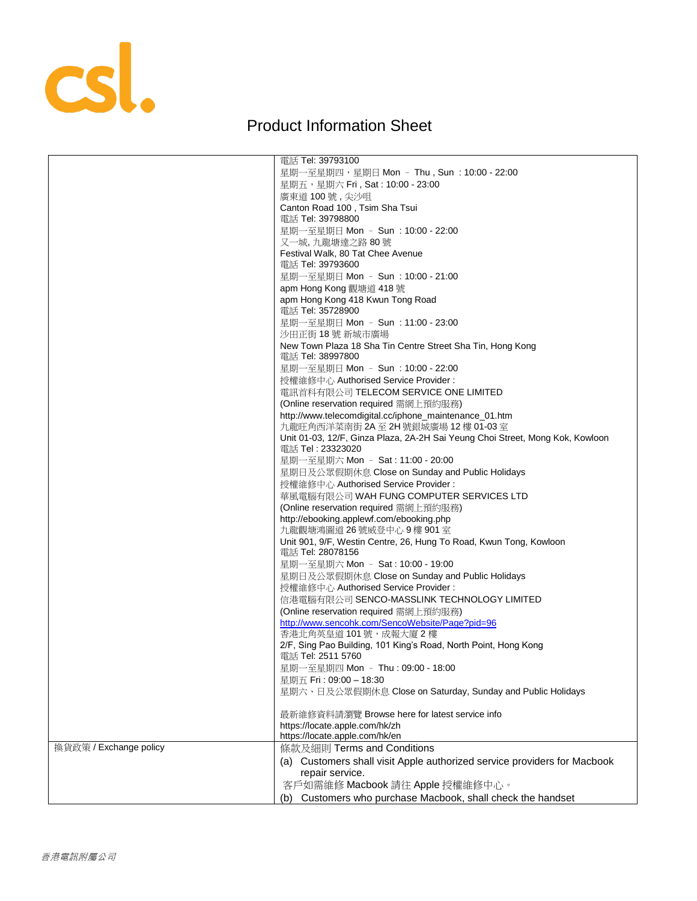

|                        | 電話 Tel: 39793100                                                              |
|------------------------|-------------------------------------------------------------------------------|
|                        | 星期一至星期四,星期日 Mon - Thu , Sun : 10:00 - 22:00                                   |
|                        | 星期五,星期六 Fri, Sat: 10:00 - 23:00                                               |
|                        | 廣東道 100號,尖沙咀                                                                  |
|                        | Canton Road 100, Tsim Sha Tsui                                                |
|                        | 電話 Tel: 39798800                                                              |
|                        | 星期一至星期日 Mon - Sun : 10:00 - 22:00                                             |
|                        | 又一城,九龍塘達之路 80號                                                                |
|                        | Festival Walk, 80 Tat Chee Avenue                                             |
|                        | 電話 Tel: 39793600                                                              |
|                        | 星期一至星期日 Mon - Sun : 10:00 - 21:00                                             |
|                        | apm Hong Kong 觀塘道 418 號                                                       |
|                        | apm Hong Kong 418 Kwun Tong Road                                              |
|                        | 電話 Tel: 35728900                                                              |
|                        | 星期一至星期日 Mon - Sun : 11:00 - 23:00                                             |
|                        | 沙田正街 18號 新城市廣場                                                                |
|                        | New Town Plaza 18 Sha Tin Centre Street Sha Tin, Hong Kong                    |
|                        | 電話 Tel: 38997800                                                              |
|                        | 星期一至星期日 Mon - Sun : 10:00 - 22:00                                             |
|                        |                                                                               |
|                        | 授權維修中心 Authorised Service Provider:                                           |
|                        | 電訊首科有限公司 TELECOM SERVICE ONE LIMITED                                          |
|                        | (Online reservation required 需網上預約服務)                                         |
|                        | http://www.telecomdigital.cc/iphone_maintenance_01.htm                        |
|                        | 九龍旺角西洋菜南街 2A 至 2H 號銀城廣場 12 樓 01-03 室                                          |
|                        | Unit 01-03, 12/F, Ginza Plaza, 2A-2H Sai Yeung Choi Street, Mong Kok, Kowloon |
|                        | 電話 Tel: 23323020                                                              |
|                        | 星期一至星期六 Mon - Sat: 11:00 - 20:00                                              |
|                        | 星期日及公眾假期休息 Close on Sunday and Public Holidays                                |
|                        | 授權維修中心 Authorised Service Provider :                                          |
|                        | 華風電腦有限公司 WAH FUNG COMPUTER SERVICES LTD                                       |
|                        | (Online reservation required 需網上預約服務)                                         |
|                        | http://ebooking.applewf.com/ebooking.php                                      |
|                        | 九龍觀塘鴻圖道 26號威登中心 9樓 901室                                                       |
|                        | Unit 901, 9/F, Westin Centre, 26, Hung To Road, Kwun Tong, Kowloon            |
|                        | 電話 Tel: 28078156                                                              |
|                        | 星期一至星期六 Mon - Sat: 10:00 - 19:00                                              |
|                        | 星期日及公眾假期休息 Close on Sunday and Public Holidays                                |
|                        | 授權維修中心 Authorised Service Provider :                                          |
|                        | 信港電腦有限公司 SENCO-MASSLINK TECHNOLOGY LIMITED                                    |
|                        | (Online reservation required 需網上預約服務)                                         |
|                        | http://www.sencohk.com/SencoWebsite/Page?pid=96                               |
|                        | 香港北角英皇道 101 號,成報大廈 2 樓                                                        |
|                        | 2/F, Sing Pao Building, 101 King's Road, North Point, Hong Kong               |
|                        | 電話 Tel: 2511 5760                                                             |
|                        | 星期一至星期四 Mon - Thu: 09:00 - 18:00                                              |
|                        | 星期五 Fri: 09:00 - 18:30                                                        |
|                        | 星期六、日及公眾假期休息 Close on Saturday, Sunday and Public Holidays                    |
|                        |                                                                               |
|                        | 最新維修資料請瀏覽 Browse here for latest service info                                 |
|                        | https://locate.apple.com/hk/zh                                                |
|                        | https://locate.apple.com/hk/en                                                |
| 換貨政策 / Exchange policy | 條款及細則 Terms and Conditions                                                    |
|                        | (a) Customers shall visit Apple authorized service providers for Macbook      |
|                        | repair service.                                                               |
|                        | 客戶如需維修 Macbook 請往 Apple 授權維修中心。                                               |
|                        |                                                                               |
|                        | (b) Customers who purchase Macbook, shall check the handset                   |